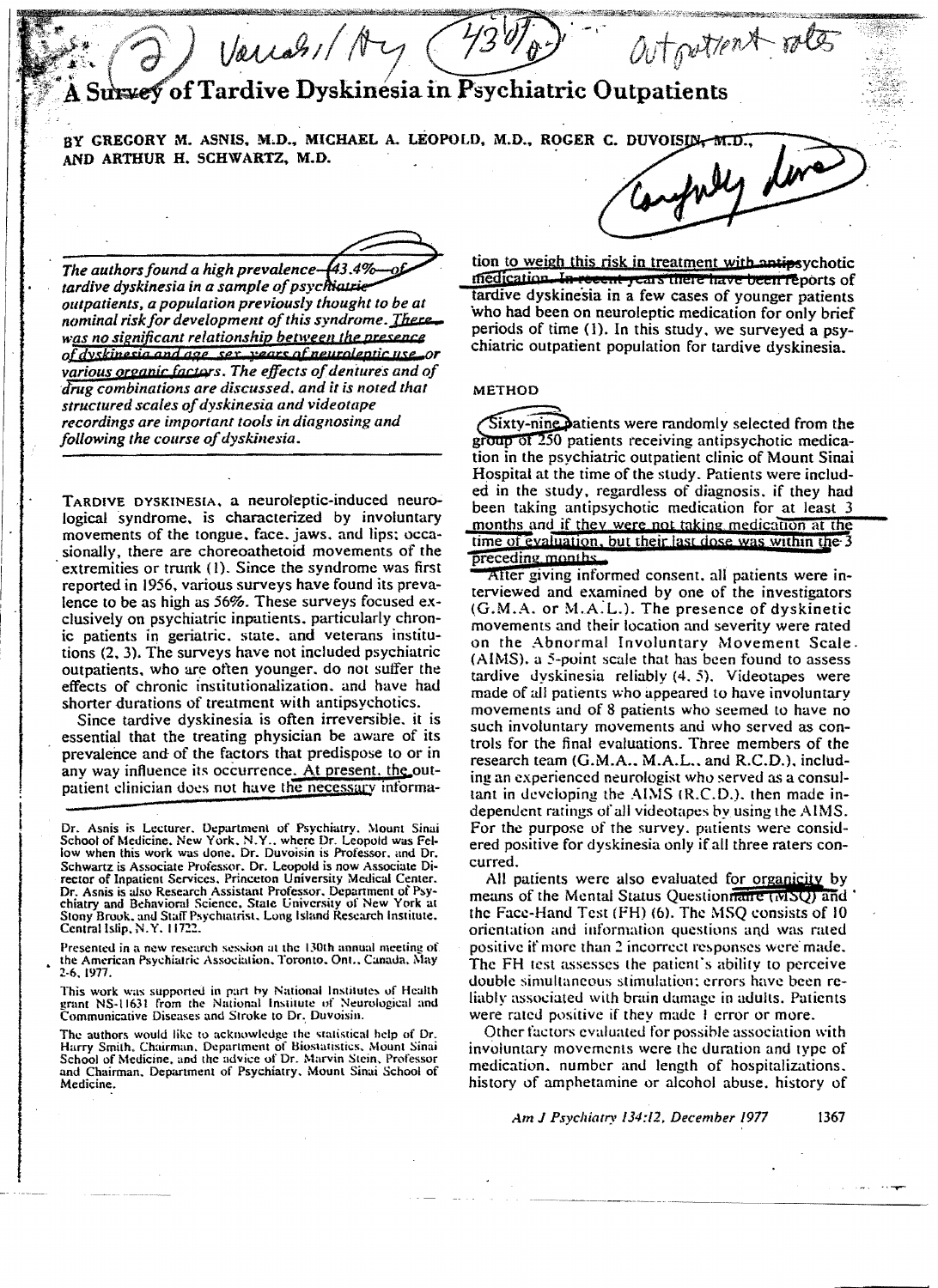Varian/ An autoutiont roles Survey of Tardive Dyskinesia in Psychiatric Outpatients

BY GREGORY M. ASNIS, M.D., MICHAEL A. LEOPOLD, M.D., ROGER C. DUVOISIN-M.D., confuly line AND ARTHUR H. SCHWARTZ, M.D.

The authors found a high prevalence-43.4% tardive dyskinesia in a sample of psychiatrie outpatients, a population previously thought to be at nominal risk for development of this syndrome. There was no significant relationship between the presence of dyskinesia and age sex years of neuroleptic use or various organic factors. The effects of dentures and of drug combinations are discussed, and it is noted that structured scales of dyskinesia and videotape recordings are important tools in diagnosing and following the course of dyskinesia.

TARDIVE DYSKINESIA, a neuroleptic-induced neurological syndrome, is characterized by involuntary movements of the tongue, face, jaws, and lips; occasionally, there are choreoathetoid movements of the extremities or trunk (1). Since the syndrome was first reported in 1956, various surveys have found its prevalence to be as high as 56%. These surveys focused exclusively on psychiatric inpatients, particularly chronic patients in geriatric, state, and veterans institutions (2, 3). The surveys have not included psychiatric outpatients, who are often younger, do not suffer the effects of chronic institutionalization, and have had shorter durations of treatment with antipsychotics.

Since tardive dyskinesia is often irreversible, it is essential that the treating physician be aware of its prevalence and of the factors that predispose to or in any way influence its occurrence. At present, the outpatient clinician does not have the necessary informa-

Presented in a new research session at the 130th annual meeting of the American Psychiatric Association, Toronto, Ont., Canada, May 2-6, 1977.

tion to weigh this risk in treatment with antipsychotic medication. In recent years there have been reports of tardive dyskinesia in a few cases of younger patients who had been on neuroleptic medication for only brief periods of time (1). In this study, we surveyed a psychiatric outpatient population for tardive dyskinesia.

# **METHOD**

Sixty-nine patients were randomly selected from the group of 250 patients receiving antipsychotic medication in the psychiatric outpatient clinic of Mount Sinai Hospital at the time of the study. Patients were included in the study, regardless of diagnosis, if they had been taking antipsychotic medication for at least 3 months and if they were not taking medication at the time of evaluation, but their last dose was within the 3 preceding months.

After giving informed consent, all patients were interviewed and examined by one of the investigators  $(G.M.A.$  or  $M.A.L.$ ). The presence of dyskinetic movements and their location and severity were rated on the Abnormal Involuntary Movement Scale. (AIMS), a 5-point scale that has been found to assess tardive dyskinesia reliably  $(4, 5)$ . Videotapes were made of all patients who appeared to have involuntary movements and of 8 patients who seemed to have no such involuntary movements and who served as controls for the final evaluations. Three members of the research team (G.M.A., M.A.L., and R.C.D.), including an experienced neurologist who served as a consultant in developing the AIMS (R.C.D.), then made independent ratings of all videotapes by using the AIMS. For the purpose of the survey, patients were considered positive for dyskinesia only if all three raters concurred.

All patients were also evaluated for organicity by means of the Mental Status Questionnaire (MSQ) and the Face-Hand Test (FH) (6). The MSQ consists of 10 orientation and information questions and was rated positive if more than 2 incorrect responses were made. The FH test assesses the patient's ability to perceive double simultaneous stimulation; errors have been reliably associated with brain damage in adults. Patients were rated positive if they made 1 error or more.

Other factors evaluated for possible association with involuntary movements were the duration and type of medication, number and length of hospitalizations. history of amphetamine or alcohol abuse, history of

Dr. Asnis is Lecturer, Department of Psychiatry, Mount Sinai School of Medicine, New York, N.Y., where Dr. Leopold was Fellow when this work was done. Dr. Duvoisin is Professor, and Dr. Schwartz is Associate Professor. Dr. Leopold is now Associate Director of Inpatient Services, Princeton University Medical Center. Dr. Asnis is also Research Assistant Professor, Department of Psychiatry and Behavioral Science. State University of New York at Stony Brook, and Staff Psychiatrist, Long Island Research Institute, Central Islip, N.Y. 11722

This work was supported in part by National Institutes of Health grant NS-11631 from the National Institute of Neurological and Communicative Diseases and Stroke to Dr. Duvoisin.

The authors would like to acknowledge the statistical help of Dr. Harry Smith, Chairman, Department of Biostatistics, Mount Sinai School of Medicine, and the advice of Dr. Marvin Stein, Professor and Chairman, Department of Psychiatry, Mount Sinai School of Medicine.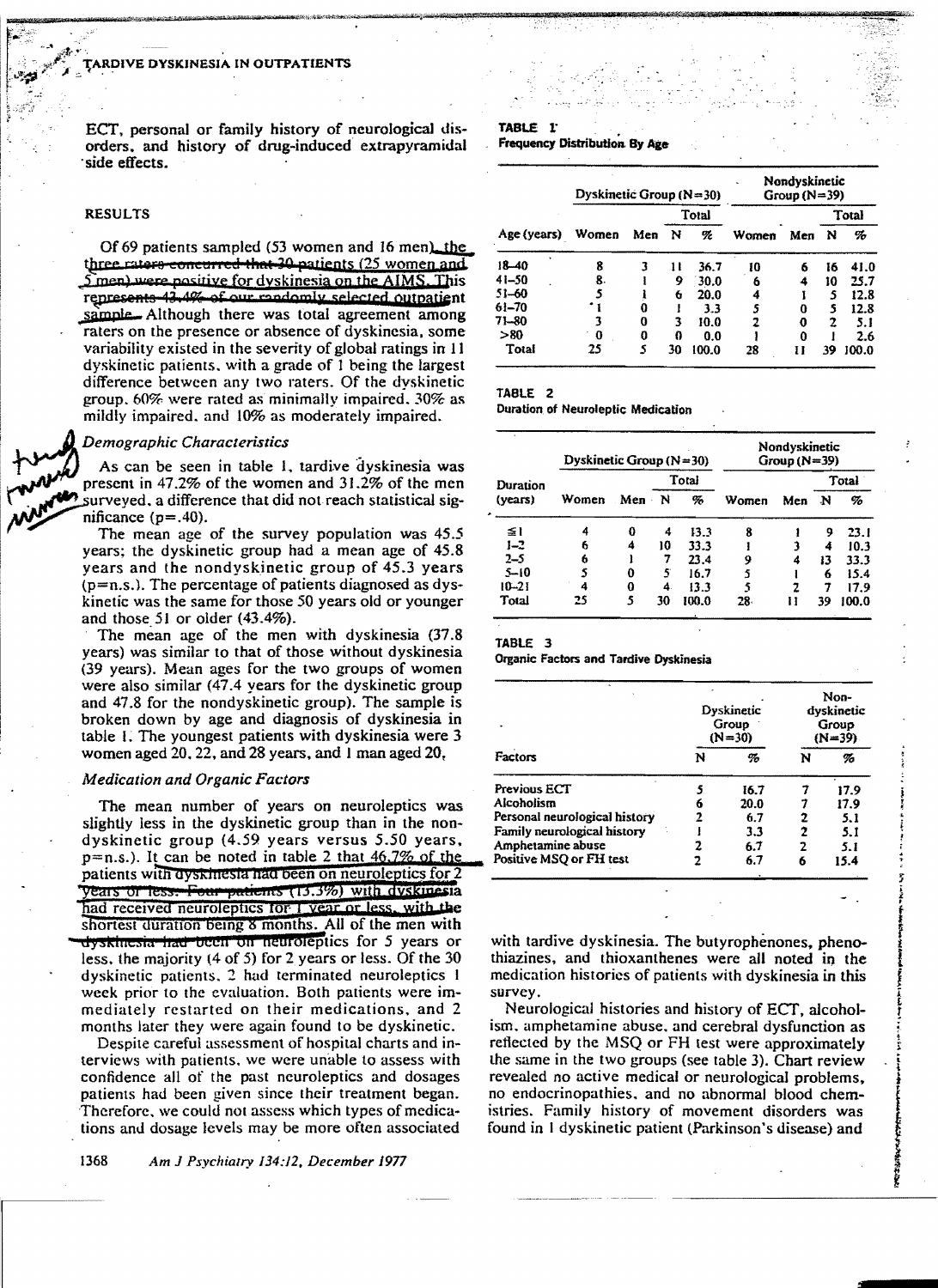ECT, personal or family history of neurological disorders, and history of drug-induced extrapyramidal side effects.

# **RESULTS**

Of 69 patients sampled (53 women and 16 men), the three raters concurred that 30 patients (25 women and 5 men) were positive for dyskinesia on the AIMS. This represents 43,4% of our randomly selected outpatient sample. Although there was total agreement among raters on the presence or absence of dyskinesia, some variability existed in the severity of global ratings in 11 dyskinetic patients, with a grade of 1 being the largest difference between any two raters. Of the dyskinetic group, 60% were rated as minimally impaired, 30% as mildly impaired, and 10% as moderately impaired.

## Demographic Characteristics

As can be seen in table 1, tardive dyskinesia was present in 47.2% of the women and 31.2% of the men surveyed, a difference that did not reach statistical significance  $(p=.40)$ .

The mean age of the survey population was 45.5 years; the dyskinetic group had a mean age of 45.8 years and the nondyskinetic group of 45.3 years  $(p=n.s.)$ . The percentage of patients diagnosed as dyskinetic was the same for those 50 years old or younger and those 51 or older  $(43.4\%)$ .

The mean age of the men with dyskinesia (37.8) years) was similar to that of those without dyskinesia (39 years). Mean ages for the two groups of women were also similar (47.4 years for the dyskinetic group and 47.8 for the nondyskinetic group). The sample is broken down by age and diagnosis of dyskinesia in table 1. The youngest patients with dyskinesia were 3 women aged 20, 22, and 28 years, and 1 man aged 20,

# **Medication and Organic Factors**

The mean number of years on neuroleptics was slightly less in the dyskinetic group than in the nondyskinetic group (4.59 years versus 5.50 years,  $p=n.s.$ ). It can be noted in table 2 that  $46.7\%$  of the patients with dyskinesia had been on neuroleptics for 2 years or less. Four patients (15.3%) with dyskinesia had received neuroleptics for I vear or less, with the shortest duration being 8 months. All of the men with dyskinesia had been on neuroleptics for 5 years or less, the majority  $(4 \text{ of } 5)$  for 2 years or less. Of the 30 dyskinetic patients, 2 had terminated neuroleptics 1 week prior to the evaluation. Both patients were immediately restarted on their medications, and 2 months later they were again found to be dyskinetic.

Despite careful assessment of hospital charts and interviews with patients, we were unable to assess with confidence all of the past neuroleptics and dosages patients had been given since their treatment began. Therefore, we could not assess which types of medications and dosage levels may be more often associated

## TABLE 1 **Frequency Distribution By Age**

| Age (years)  | Dyskinetic Group ( $N = 30$ ) |     |       |       | Nondyskinetic<br>Group $(N=39)$ |     |       |       |  |
|--------------|-------------------------------|-----|-------|-------|---------------------------------|-----|-------|-------|--|
|              |                               | Men | Total |       |                                 |     | Total |       |  |
|              | Women                         |     | N     | K     | Women                           | Men | N     | %     |  |
| $18 - 40$    | 8                             | 3   | н     | 36.7  | 10                              | 6   | 16    | 41.0  |  |
| $41 - 50$    | 8.                            |     | 9     | 30.0  | 6                               | 4   | 10    | 25.7  |  |
| $51 - 60$    | 5                             |     | 6     | 20.0  | 4                               |     | 5     | 12.8  |  |
| $61 - 70$    |                               | Ω   |       | 3.3   | 5                               | 0   | 5     | 12.8  |  |
| 71-80        | 3                             | 0   | 3     | 10.0  | 7                               | 0   | 2     | 5.1   |  |
| > 80         | 0                             | 0   | 0     | 0.0   |                                 | 0   |       | 2.6   |  |
| <b>Total</b> | 25                            | S   | 30    | 100.0 | 28                              | Ħ   | 39    | 100.0 |  |

### TABLE 2

**Duration of Neuroleptic Medication** 

| Duration<br>(years) | Dyskinetic Group ( $N = 30$ ) |     |       | Nondyskinetic<br>$Group(N=39)$ |       |     |       |       |
|---------------------|-------------------------------|-----|-------|--------------------------------|-------|-----|-------|-------|
|                     |                               | Men | Total |                                |       |     | Total |       |
|                     | Women                         |     | N     | %                              | Women | Men | N     | %     |
| ≦1                  | 4                             | 0   | 4     | 13.3                           | 8     |     | 9     | 23.1  |
| $1 - 2$             | 6                             | 4   | 10    | 33.3                           |       |     | 4     | 10.3  |
| $2 - 5$             | 6                             |     | 7     | 23.4                           | 9     | 4   | 13    | 33.3  |
| $5 - 10$            | 5                             | 0   | 5     | 16.7                           |       |     | 6     | 15.4  |
| $10 - 21$           | 4                             | 0   | 4.    | 13.3                           | 5     | 7   | 7     | 17.9  |
| Total               | 25                            | 5   | 30    | 100.0                          | 28.   |     | 39    | 100.0 |

### TABLE 3

**Organic Factors and Tardive Dyskinesia** 

|                               |   | Dyskinetic<br>Group<br>$(N=30)$ | Non-<br>dyskinetic<br>Group<br>(N=39) |      |  |
|-------------------------------|---|---------------------------------|---------------------------------------|------|--|
| Factors                       | N | %                               | N                                     | %    |  |
| Previous ECT                  |   | 16.7                            |                                       | 17.9 |  |
| Alcoholism                    |   | 20.0                            |                                       | 17.9 |  |
| Personal neurological history |   | 6.7                             | 2                                     | 5.1  |  |
| Family neurological history   |   | 3.3                             | 2                                     | 5.1  |  |
| Amphetamine abuse             |   | 6.7                             | 2                                     | 5.1  |  |
| Positive MSQ or FH test       |   | 6.7                             | 6                                     | 15.4 |  |

with tardive dyskinesia. The butyrophenones, phenothiazines, and thioxanthenes were all noted in the medication histories of patients with dyskinesia in this survey.

Neurological histories and history of ECT, alcoholism, amphetamine abuse, and cerebral dysfunction as reflected by the MSQ or FH test were approximately the same in the two groups (see table 3). Chart review revealed no active medical or neurological problems, no endocrinopathies, and no abnormal blood chemistries. Family history of movement disorders was found in 1 dyskinetic patient (Parkinson's disease) and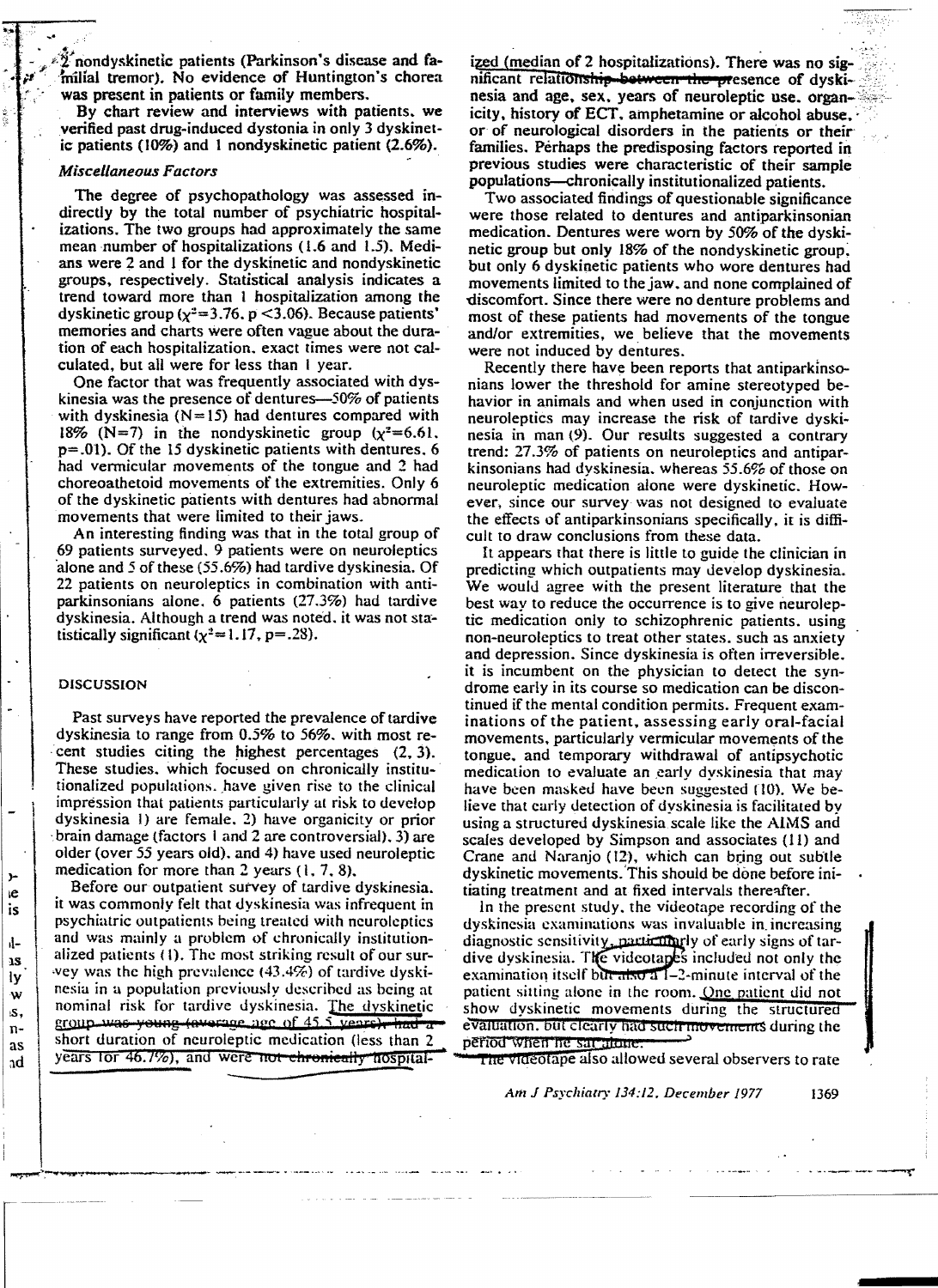$\widetilde{2}$  nondyskinetic patients (Parkinson's disease and familial tremor). No evidence of Huntington's chorea was present in patients or family members.

. By chart review and interviews with patients. we verified past drug.induced dystonia in only 3 dyskinetic patients (10%) and 1 nondyskinetic patient (2.6%).

## *Miscellaneous Factors*

The degree of psychopathology was assessed indirectly by the total number of psychiatric hospitalizations. The two groups had approximately the same mean number of hospitalizations (1.6 and 1.5). Medians were 2 and 1 for the dyskinetic and nondyskinetic groups. respectively. Statistical analysis indicates a trend toward more than 1 hospitalization among the dyskinetic group ( $\chi^2$ =3.76. p <3.06). Because patients' memories and charts were often vague about the duration of each hospitalization. exact times were not calculated. but all were for less than I year.

One factor that was frequently associated with dyskinesia was the presence of dentures- $-50\%$  of patients with dyskinesia ( $N=15$ ) had dentures compared with 18% (N=7) in the nondyskinetic group  $(x^2=6.61$ . p=.Ol). Of the 15 dyskinetic patients with dentures. 6 had vermicular movements of the tongue and 2 had choreoathetoid movements of the extremities. Only 6 of the dyskinetic patients with dentures had abnormal movements that were limited to their jaws.

An interesting finding was that in the total group of 69 patients surveyed. 9 patients were on neuroleptics 'alone and 5 of these (55.6%) had tardive dyskinesia. Of 22 patients on neuroleptics in combination with antiparkinsonians alone. 6 patients (27.3%) had tardive dyskinesia. Although a trend was noted. it was not statistically significant  $(\chi^2=1.17, p=.28)$ .

## DISCUSSION

l

Past surveys have reported the prevalence of tardive dyskinesia to range from 0.5% to 56%. with most re cent studies citing the highest percentages  $(2, 3)$ . These studies. which focused on chronicallv institutionalized populations, have given rise to the clinical impression that patients particularly at risk to develop dyskinesia I) are female. 2) have organicity or prior brain damage (factors 1 and 2 are controversial). 3) are older (over 55 years old). and 4) have used neuroleptic medication for more than 2 years  $(1, 7, 8)$ .

Before our outpatient survey of tardive dyskinesia. it was commonly felt that dyskinesia was infrequent in psychiatric outpatients being treated with ncuro!eptics and was mainly a problem of chronically institutionalized patients (1). The most striking result of our survey was the high prevalence  $(43.4%)$  of tardive dyskinesia in a population previously described as being at nominal risk for tardive dyskinesia. The dyskinetic  $\frac{1}{2}$  group was young (average age of 45.5 vears), had a short duration of neuroleptic medication (less than 2 years for  $46.1\%$ ), and were not chronically hospital- $\overline{ }$  The videotape also allowed several observers to rate

ized (median of 2 hospitalizations). There was no significant relationship between the presence of dyskinesia and age, sex. years of neuroleptic use. organicity, history of ECT, amphetamine or alcohol abuse. or of neurological disorders in the patients or their families. Perhaps the predisposing factors reported in previous studies were characteristic of their sample populations-chronically institutionalized patients.

Two associated findings of questionable significance were those related to dentures and antiparkinsonian medication. Dentures were worn by 50% of the dyskinetic group but only 18% of the nondyskinetic group: but only 6 dyskinetic patients who wore dentures had movements limited to the jaw. and none complained of discomfort. Since there were no denture problems and most of these patients had movements of the tongue and/or extremities, we believe that the movements were not induced bv dentures.

Recently there have been reports that antiparkinsonians lower the threshold for amine stereotyped behavior in animals and when used in conjunction with neuroleptics may increase the risk of tardive dyskinesia in man (9). Our results suggested a contrary trend: 27.3% of patients on neuroleptics and antiparkinsonians had dvskinesia. whereas 55.6% of those on neuroleptic medication alone were dyskinetic. However. since our survey was not designed to evaluate the effects of antiparkinsonians specifically. it is difficult to draw conclusions from these data.

It appears that there is little to guide the clinician in predicting which outpatients may develop dyskinesia. We would agree with the present literature that the best way to reduce the occurrence is to give neuroleptic medication only to schizophrenic patients. using non-neuroleptics to treat other states. such as anxiety and depression. Since dyskinesia is often irreversible. it is incumbent on the physician to detect the syndrome early in its course so medication can be discontinued if the mental condition permits. Frequent examinations of the patient, assessing early oral-facial movements. particularly vermicular movements of the tongue. and temporary withdrawal of antipsychotic medication to evaluate an early dyskinesia that may have been masked have been suggested  $(10)$ . We believe that early detection of dyskinesia is facilitated by using a structured dyskinesia scale like the AIMS and scales developed by Simpson and associates (II) and Crane and Naranjo  $(12)$ , which can bring out subtle dyskinetic movements.'This should be done before initiating treatment and at fixed intervals thereqfter.

In the prescnt study. the videotape recording of the dyskinesia examinations was invaluable in increasing. diagnostic sensitivity, particularly of early signs of tardive dyskinesia. The videotanes included not only the examination itself blue  $\frac{d}{dx}$  at  $\frac{d}{dx}$  -2-minute interval of the patient sitting alone in the room. One patient did not show dyskinetic movements during the structured evaluation. but clearly had such movements during the period when he sat alone.